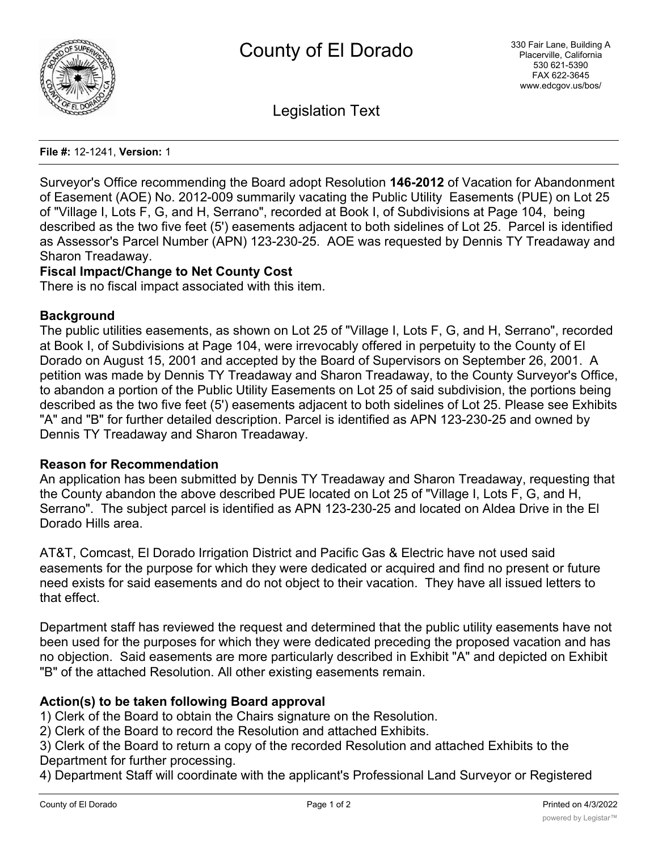

Legislation Text

**File #:** 12-1241, **Version:** 1

Surveyor's Office recommending the Board adopt Resolution **146-2012** of Vacation for Abandonment of Easement (AOE) No. 2012-009 summarily vacating the Public Utility Easements (PUE) on Lot 25 of "Village I, Lots F, G, and H, Serrano", recorded at Book I, of Subdivisions at Page 104, being described as the two five feet (5') easements adjacent to both sidelines of Lot 25. Parcel is identified as Assessor's Parcel Number (APN) 123-230-25. AOE was requested by Dennis TY Treadaway and Sharon Treadaway.

# **Fiscal Impact/Change to Net County Cost**

There is no fiscal impact associated with this item.

## **Background**

The public utilities easements, as shown on Lot 25 of "Village I, Lots F, G, and H, Serrano", recorded at Book I, of Subdivisions at Page 104, were irrevocably offered in perpetuity to the County of El Dorado on August 15, 2001 and accepted by the Board of Supervisors on September 26, 2001. A petition was made by Dennis TY Treadaway and Sharon Treadaway, to the County Surveyor's Office, to abandon a portion of the Public Utility Easements on Lot 25 of said subdivision, the portions being described as the two five feet (5') easements adjacent to both sidelines of Lot 25. Please see Exhibits "A" and "B" for further detailed description. Parcel is identified as APN 123-230-25 and owned by Dennis TY Treadaway and Sharon Treadaway.

## **Reason for Recommendation**

An application has been submitted by Dennis TY Treadaway and Sharon Treadaway, requesting that the County abandon the above described PUE located on Lot 25 of "Village I, Lots F, G, and H, Serrano". The subject parcel is identified as APN 123-230-25 and located on Aldea Drive in the El Dorado Hills area.

AT&T, Comcast, El Dorado Irrigation District and Pacific Gas & Electric have not used said easements for the purpose for which they were dedicated or acquired and find no present or future need exists for said easements and do not object to their vacation. They have all issued letters to that effect.

Department staff has reviewed the request and determined that the public utility easements have not been used for the purposes for which they were dedicated preceding the proposed vacation and has no objection. Said easements are more particularly described in Exhibit "A" and depicted on Exhibit "B" of the attached Resolution. All other existing easements remain.

# **Action(s) to be taken following Board approval**

1) Clerk of the Board to obtain the Chairs signature on the Resolution.

2) Clerk of the Board to record the Resolution and attached Exhibits.

3) Clerk of the Board to return a copy of the recorded Resolution and attached Exhibits to the Department for further processing.

4) Department Staff will coordinate with the applicant's Professional Land Surveyor or Registered